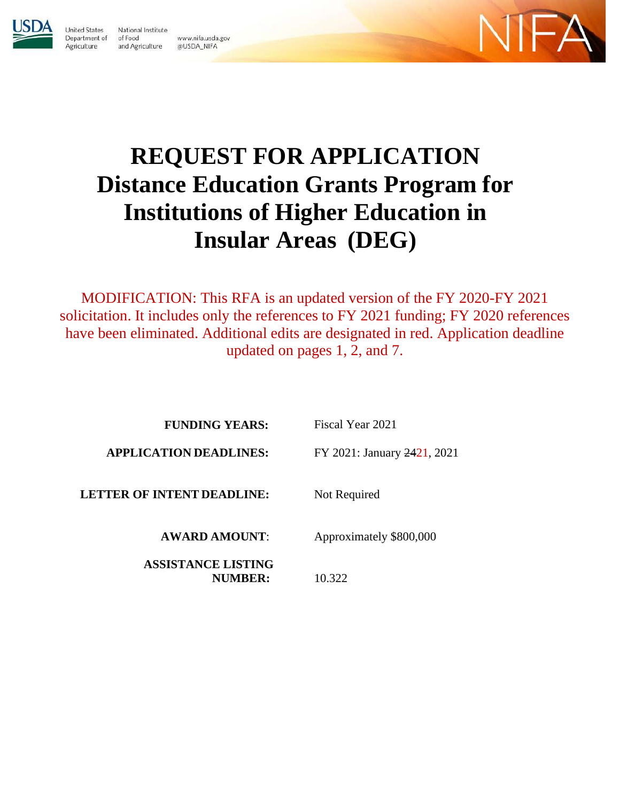

**United States** 

Agriculture

National Institute Department of of Food www.nifa.usda.gov and Agriculture @USDA\_NIFA



# **REQUEST FOR APPLICATION Distance Education Grants Program for Institutions of Higher Education in Insular Areas (DEG)**

MODIFICATION: This RFA is an updated version of the FY 2020-FY 2021 solicitation. It includes only the references to FY 2021 funding; FY 2020 references have been eliminated. Additional edits are designated in red. Application deadline updated on pages 1, 2, and 7.

| <b>FUNDING YEARS:</b>                       | Fiscal Year 2021            |
|---------------------------------------------|-----------------------------|
| <b>APPLICATION DEADLINES:</b>               | FY 2021: January 2421, 2021 |
| LETTER OF INTENT DEADLINE:                  | Not Required                |
| <b>AWARD AMOUNT:</b>                        | Approximately \$800,000     |
| <b>ASSISTANCE LISTING</b><br><b>NUMBER:</b> | 10.322                      |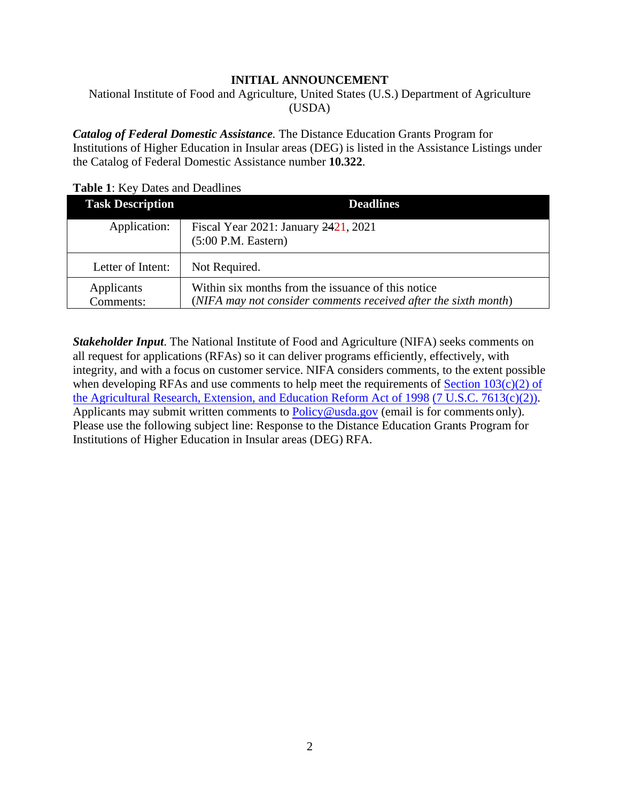#### **INITIAL ANNOUNCEMENT**

National Institute of Food and Agriculture, United States (U.S.) Department of Agriculture (USDA)

*Catalog of Federal Domestic Assistance.* The Distance Education Grants Program for Institutions of Higher Education in Insular areas (DEG) is listed in the Assistance Listings under the Catalog of Federal Domestic Assistance number **10.322**.

#### **Table 1**: Key Dates and Deadlines

| <b>Task Description</b> | <b>Deadlines</b>                                                |
|-------------------------|-----------------------------------------------------------------|
| Application:            | Fiscal Year 2021: January 2421, 2021                            |
|                         | $(5:00$ P.M. Eastern)                                           |
| Letter of Intent:       | Not Required.                                                   |
| Applicants              | Within six months from the issuance of this notice              |
| Comments:               | (NIFA may not consider comments received after the sixth month) |

*Stakeholder Input*. The National Institute of Food and Agriculture (NIFA) seeks comments on all request for applications (RFAs) so it can deliver programs efficiently, effectively, with integrity, and with a focus on customer service. NIFA considers comments, to the extent possible when developing RFAs and use comments to help meet the requirements of Section  $103(c)(2)$  of [the Agricultural Research, Extension, and Education Reform Act of 1998](https://test.nifa.usda.gov/resource/agricultural-research-extension-and-education-reform-act-1998) [\(7 U.S.C. 7613\(c\)\(2\)\).](https://nifa.usda.gov/resource/agricultural-research-extension-and-education-reform-act-1998) Applicants may submit written comments to [Policy@usda.gov](mailto:Policy@usda.gov) (email is for comments only). Please use the following subject line: Response to the Distance Education Grants Program for Institutions of Higher Education in Insular areas (DEG) RFA.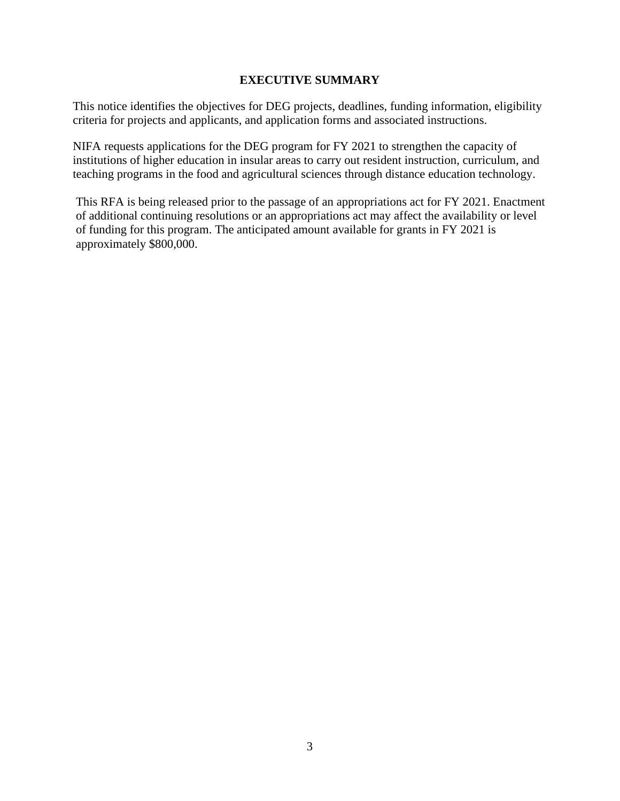#### **EXECUTIVE SUMMARY**

This notice identifies the objectives for DEG projects, deadlines, funding information, eligibility criteria for projects and applicants, and application forms and associated instructions.

NIFA requests applications for the DEG program for FY 2021 to strengthen the capacity of institutions of higher education in insular areas to carry out resident instruction, curriculum, and teaching programs in the food and agricultural sciences through distance education technology.

This RFA is being released prior to the passage of an appropriations act for FY 2021. Enactment of additional continuing resolutions or an appropriations act may affect the availability or level of funding for this program. The anticipated amount available for grants in FY 2021 is approximately \$800,000.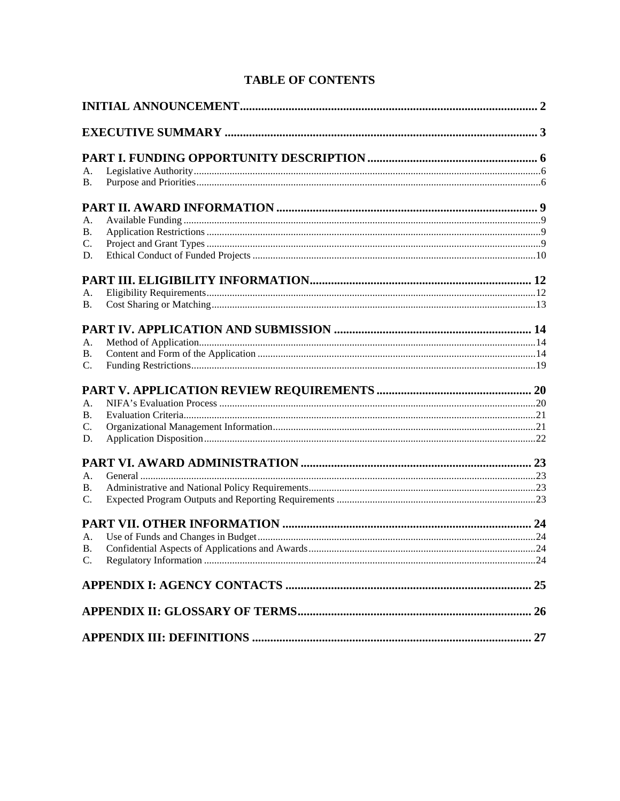# **TABLE OF CONTENTS**

| А.                           |  |  |
|------------------------------|--|--|
| <b>B.</b>                    |  |  |
|                              |  |  |
| A.                           |  |  |
| В.                           |  |  |
| C.                           |  |  |
| D.                           |  |  |
|                              |  |  |
| А.                           |  |  |
| B.                           |  |  |
|                              |  |  |
| А.                           |  |  |
| <b>B.</b>                    |  |  |
| $\mathcal{C}$ .              |  |  |
|                              |  |  |
| Α.                           |  |  |
| <b>B.</b>                    |  |  |
| $\mathcal{C}$ .              |  |  |
| D.                           |  |  |
|                              |  |  |
| А.                           |  |  |
| <b>B.</b><br>$\mathcal{C}$ . |  |  |
|                              |  |  |
| $A_{\cdot}$                  |  |  |
|                              |  |  |
|                              |  |  |
|                              |  |  |
|                              |  |  |
|                              |  |  |
|                              |  |  |
|                              |  |  |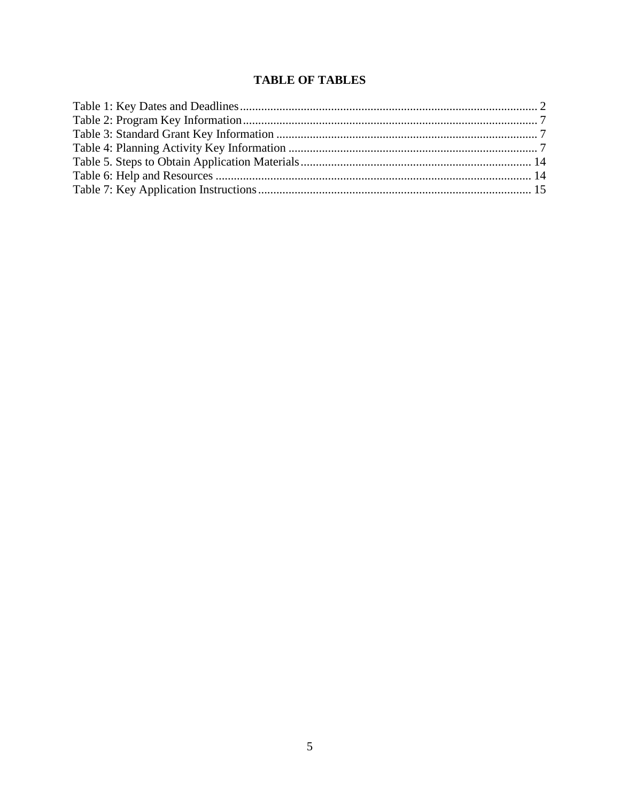# **TABLE OF TABLES**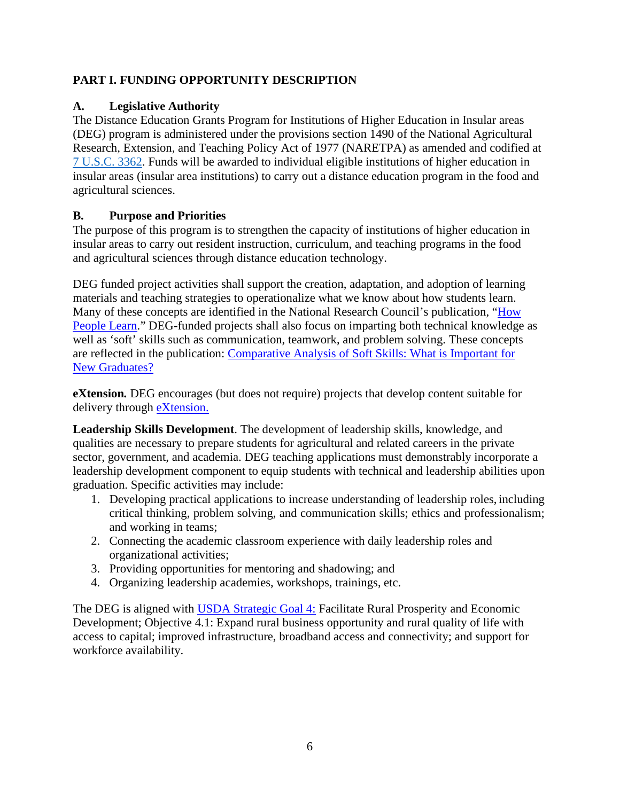## **PART I. FUNDING OPPORTUNITY DESCRIPTION**

## **A. Legislative Authority**

The Distance Education Grants Program for Institutions of Higher Education in Insular areas (DEG) program is administered under the provisions section 1490 of the National Agricultural Research, Extension, and Teaching Policy Act of 1977 (NARETPA) as amended and codified at [7 U.S.C. 3362.](https://uscode.house.gov/view.xhtml?req=(title:7%20section:3362%20edition:prelim)%20OR%20(granuleid:USC-prelim-title7-section3362)&f=treesort&edition=prelim&num=0&jumpTo=true) Funds will be awarded to individual eligible institutions of higher education in insular areas (insular area institutions) to carry out a distance education program in the food and agricultural sciences.

## **B. Purpose and Priorities**

The purpose of this program is to strengthen the capacity of institutions of higher education in insular areas to carry out resident instruction, curriculum, and teaching programs in the food and agricultural sciences through distance education technology.

DEG funded project activities shall support the creation, adaptation, and adoption of learning materials and teaching strategies to operationalize what we know about how students learn. Many of these concepts are identified in the National Research Council's publication, ["How](https://www.nap.edu/catalog/9853/how-people-learn-brain-mind-experience-and-school-expanded-edition) [People Learn.](https://www.nap.edu/catalog/9853/how-people-learn-brain-mind-experience-and-school-expanded-edition)" DEG-funded projects shall also focus on imparting both technical knowledge as well as 'soft' skills such as communication, teamwork, and problem solving. These concepts are reflected in the publication: [Comparative Analysis of Soft Skills: What is Important for](http://www.aplu.org/members/commissions/food-environment-and-renewable-resources/CFERR_Library/comparative-analysis-of-soft-skills-what-is-important-for-new-graduates) [New Graduates?](http://www.aplu.org/members/commissions/food-environment-and-renewable-resources/CFERR_Library/comparative-analysis-of-soft-skills-what-is-important-for-new-graduates)

**eXtension***.* DEG encourages (but does not require) projects that develop content suitable for delivery through [eXtension.](https://impact.extension.org/)

**Leadership Skills Development**. The development of leadership skills, knowledge, and qualities are necessary to prepare students for agricultural and related careers in the private sector, government, and academia. DEG teaching applications must demonstrably incorporate a leadership development component to equip students with technical and leadership abilities upon graduation. Specific activities may include:

- 1. Developing practical applications to increase understanding of leadership roles, including critical thinking, problem solving, and communication skills; ethics and professionalism; and working in teams;
- 2. Connecting the academic classroom experience with daily leadership roles and organizational activities;
- 3. Providing opportunities for mentoring and shadowing; and
- 4. Organizing leadership academies, workshops, trainings, etc.

The DEG is aligned with [USDA Strategic Goal 4:](https://www.usda.gov/sites/default/files/documents/usda-strategic-plan-2018-2022.pdf) Facilitate Rural Prosperity and Economic Development; Objective 4.1: Expand rural business opportunity and rural quality of life with access to capital; improved infrastructure, broadband access and connectivity; and support for workforce availability.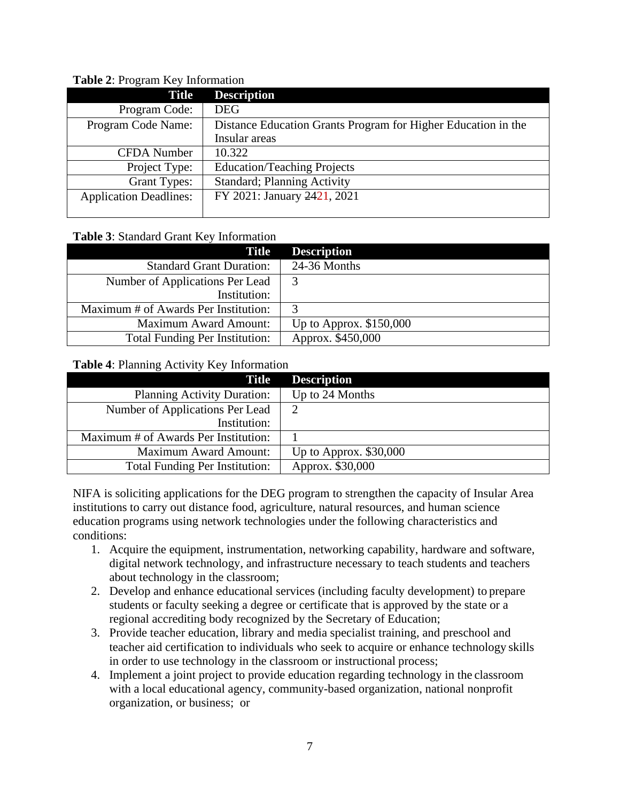| <b>Title</b>                  | <b>Description</b>                                            |
|-------------------------------|---------------------------------------------------------------|
| Program Code:                 | <b>DEG</b>                                                    |
| Program Code Name:            | Distance Education Grants Program for Higher Education in the |
|                               | Insular areas                                                 |
| <b>CFDA</b> Number            | 10.322                                                        |
| Project Type:                 | <b>Education/Teaching Projects</b>                            |
| <b>Grant Types:</b>           | <b>Standard</b> ; Planning Activity                           |
| <b>Application Deadlines:</b> | FY 2021: January 2421, 2021                                   |
|                               |                                                               |

#### **Table 2**: Program Key Information

#### **Table 3**: Standard Grant Key Information

| <b>Title</b>                          | <b>Description</b>       |
|---------------------------------------|--------------------------|
| <b>Standard Grant Duration:</b>       | 24-36 Months             |
| Number of Applications Per Lead       |                          |
| Institution:                          |                          |
| Maximum # of Awards Per Institution:  |                          |
| <b>Maximum Award Amount:</b>          | Up to Approx. $$150,000$ |
| <b>Total Funding Per Institution:</b> | Approx. \$450,000        |

#### **Table 4**: Planning Activity Key Information

| <b>Title</b>                          | <b>Description</b>      |
|---------------------------------------|-------------------------|
| <b>Planning Activity Duration:</b>    | Up to 24 Months         |
| Number of Applications Per Lead       |                         |
| Institution:                          |                         |
| Maximum # of Awards Per Institution:  |                         |
| <b>Maximum Award Amount:</b>          | Up to Approx. $$30,000$ |
| <b>Total Funding Per Institution:</b> | Approx. \$30,000        |

NIFA is soliciting applications for the DEG program to strengthen the capacity of Insular Area institutions to carry out distance food, agriculture, natural resources, and human science education programs using network technologies under the following characteristics and conditions:

- 1. Acquire the equipment, instrumentation, networking capability, hardware and software, digital network technology, and infrastructure necessary to teach students and teachers about technology in the classroom;
- 2. Develop and enhance educational services (including faculty development) to prepare students or faculty seeking a degree or certificate that is approved by the state or a regional accrediting body recognized by the Secretary of Education;
- 3. Provide teacher education, library and media specialist training, and preschool and teacher aid certification to individuals who seek to acquire or enhance technology skills in order to use technology in the classroom or instructional process;
- 4. Implement a joint project to provide education regarding technology in the classroom with a local educational agency, community-based organization, national nonprofit organization, or business; or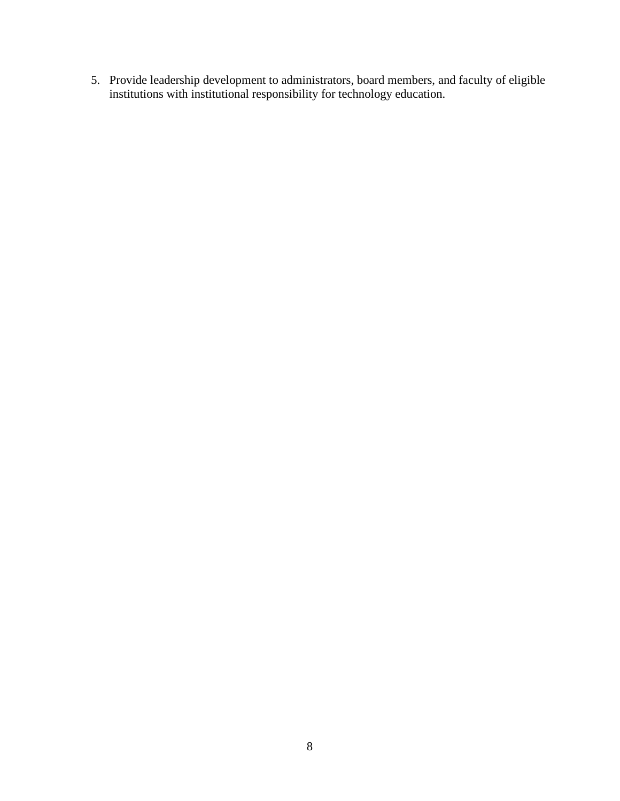5. Provide leadership development to administrators, board members, and faculty of eligible institutions with institutional responsibility for technology education.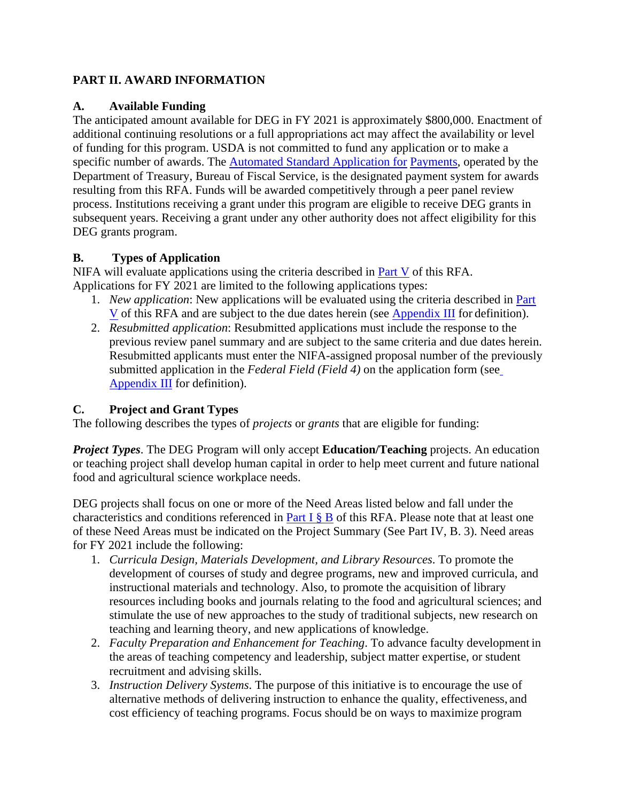## **PART II. AWARD INFORMATION**

## **A. Available Funding**

The anticipated amount available for DEG in FY 2021 is approximately \$800,000. Enactment of additional continuing resolutions or a full appropriations act may affect the availability or level of funding for this program. USDA is not committed to fund any application or to make a specific number of awards. The **Automated Standard Application for Payments**, operated by the Department of Treasury, Bureau of Fiscal Service, is the designated payment system for awards resulting from this RFA. Funds will be awarded competitively through a peer panel review process. Institutions receiving a grant under this program are eligible to receive DEG grants in subsequent years. Receiving a grant under any other authority does not affect eligibility for this DEG grants program.

# **B. Types of Application**

NIFA will evaluate applications using the criteria described in Part V of this RFA. Applications for FY 2021 are limited to the following applications types:

- 1. *New application*: New applications will be evaluated using the criteria described in Part V of this RFA and are subject to the due dates herein (see Appendix III for definition).
- 2. *Resubmitted application*: Resubmitted applications must include the response to the previous review panel summary and are subject to the same criteria and due dates herein. Resubmitted applicants must enter the NIFA-assigned proposal number of the previously submitted application in the *Federal Field (Field 4)* on the application form (see Appendix III for definition).

# **C. Project and Grant Types**

The following describes the types of *projects* or *grants* that are eligible for funding:

*Project Types*. The DEG Program will only accept **Education/Teaching** projects. An education or teaching project shall develop human capital in order to help meet current and future national food and agricultural science workplace needs.

DEG projects shall focus on one or more of the Need Areas listed below and fall under the characteristics and conditions referenced in Part I  $\S$  B of this RFA. Please note that at least one of these Need Areas must be indicated on the Project Summary (See Part IV, B. 3). Need areas for FY 2021 include the following:

- 1. *Curricula Design, Materials Development, and Library Resources*. To promote the development of courses of study and degree programs, new and improved curricula, and instructional materials and technology. Also, to promote the acquisition of library resources including books and journals relating to the food and agricultural sciences; and stimulate the use of new approaches to the study of traditional subjects, new research on teaching and learning theory, and new applications of knowledge.
- 2. *Faculty Preparation and Enhancement for Teaching*. To advance faculty development in the areas of teaching competency and leadership, subject matter expertise, or student recruitment and advising skills.
- 3. *Instruction Delivery Systems*. The purpose of this initiative is to encourage the use of alternative methods of delivering instruction to enhance the quality, effectiveness, and cost efficiency of teaching programs. Focus should be on ways to maximize program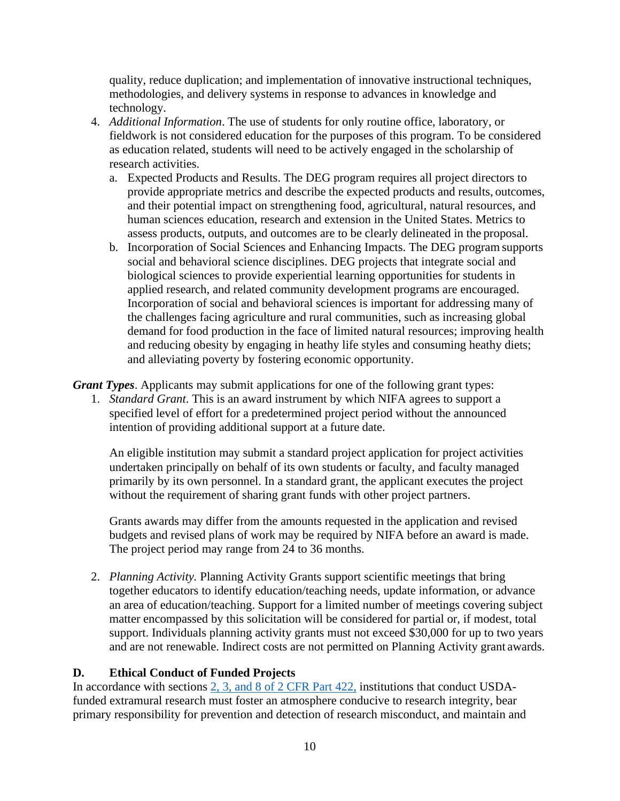quality, reduce duplication; and implementation of innovative instructional techniques, methodologies, and delivery systems in response to advances in knowledge and technology.

- 4. *Additional Information*. The use of students for only routine office, laboratory, or fieldwork is not considered education for the purposes of this program. To be considered as education related, students will need to be actively engaged in the scholarship of research activities.
	- a. Expected Products and Results. The DEG program requires all project directors to provide appropriate metrics and describe the expected products and results, outcomes, and their potential impact on strengthening food, agricultural, natural resources, and human sciences education, research and extension in the United States. Metrics to assess products, outputs, and outcomes are to be clearly delineated in the proposal.
	- b. Incorporation of Social Sciences and Enhancing Impacts. The DEG program supports social and behavioral science disciplines. DEG projects that integrate social and biological sciences to provide experiential learning opportunities for students in applied research, and related community development programs are encouraged. Incorporation of social and behavioral sciences is important for addressing many of the challenges facing agriculture and rural communities, such as increasing global demand for food production in the face of limited natural resources; improving health and reducing obesity by engaging in heathy life styles and consuming heathy diets; and alleviating poverty by fostering economic opportunity.
- *Grant Types*. Applicants may submit applications for one of the following grant types:
	- 1. *Standard Grant*. This is an award instrument by which NIFA agrees to support a specified level of effort for a predetermined project period without the announced intention of providing additional support at a future date.

An eligible institution may submit a standard project application for project activities undertaken principally on behalf of its own students or faculty, and faculty managed primarily by its own personnel. In a standard grant, the applicant executes the project without the requirement of sharing grant funds with other project partners.

Grants awards may differ from the amounts requested in the application and revised budgets and revised plans of work may be required by NIFA before an award is made. The project period may range from 24 to 36 months.

2. *Planning Activity.* Planning Activity Grants support scientific meetings that bring together educators to identify education/teaching needs, update information, or advance an area of education/teaching. Support for a limited number of meetings covering subject matter encompassed by this solicitation will be considered for partial or, if modest, total support. Individuals planning activity grants must not exceed \$30,000 for up to two years and are not renewable. Indirect costs are not permitted on Planning Activity grant awards.

## **D. Ethical Conduct of Funded Projects**

In accordance with sections [2, 3, and 8 of 2 CFR Part 422,](https://www.ecfr.gov/cgi-bin/text-idx?SID=dd969e4f7033380748bc3d38603d9bcb&mc=true&node=pt2.1.422&rgn=div5) institutions that conduct USDAfunded extramural research must foster an atmosphere conducive to research integrity, bear primary responsibility for prevention and detection of research misconduct, and maintain and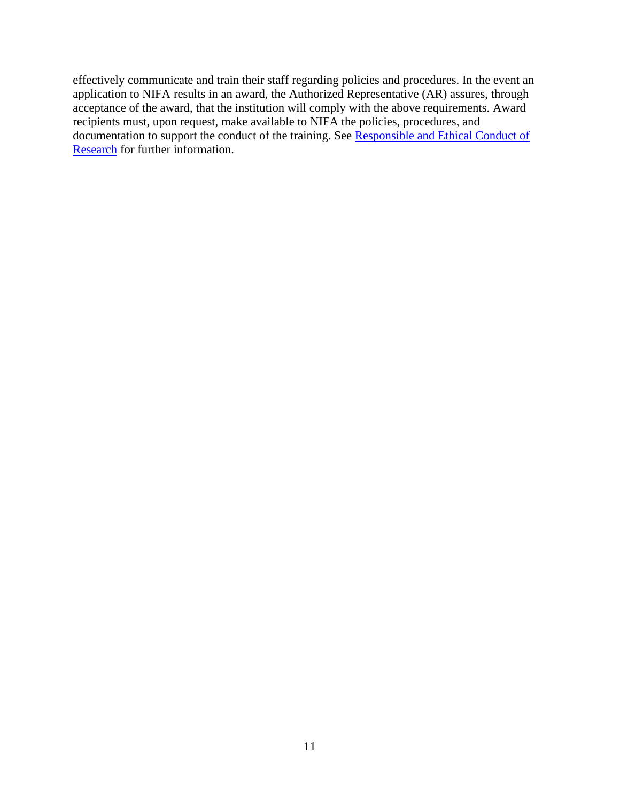effectively communicate and train their staff regarding policies and procedures. In the event an application to NIFA results in an award, the Authorized Representative (AR) assures, through acceptance of the award, that the institution will comply with the above requirements. Award recipients must, upon request, make available to NIFA the policies, procedures, and documentation to support the conduct of the training. See [Responsible and Ethical Conduct of](https://nifa.usda.gov/responsible-and-ethical-conduct-research) [Research](https://nifa.usda.gov/responsible-and-ethical-conduct-research) for further information.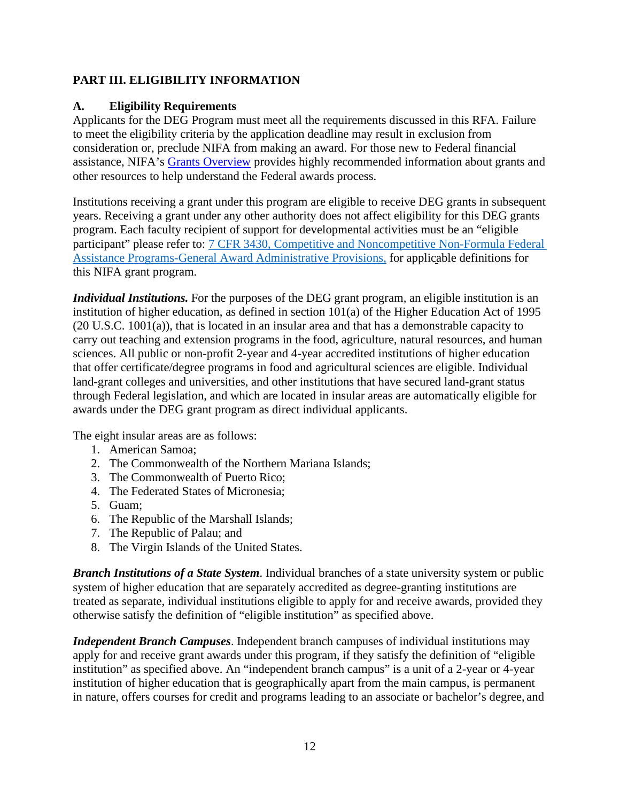# **PART III. ELIGIBILITY INFORMATION**

## **A. Eligibility Requirements**

Applicants for the DEG Program must meet all the requirements discussed in this RFA. Failure to meet the eligibility criteria by the application deadline may result in exclusion from consideration or, preclude NIFA from making an award. For those new to Federal financial assistance, NIFA's [Grants Overview](https://nifa.usda.gov/resource/grants-overview) provides highly recommended information about grants and other resources to help understand the Federal awards process.

Institutions receiving a grant under this program are eligible to receive DEG grants in subsequent years. Receiving a grant under any other authority does not affect eligibility for this DEG grants program. Each faculty recipient of support for developmental activities must be an "eligible participant" please refer to: 7 CFR 3430, Competitive and Noncompetitive Non-Formula Federal [Assistance Programs-General Award Administrative Provisions,](https://www.ecfr.gov/cgi-bin/text-idx?SID=ba13210882cd3132762fc0574886e8c5&mc=true&node=pt7.15.3430&rgn=div5) for applicable definitions for this NIFA grant program.

*Individual Institutions.* For the purposes of the DEG grant program, an eligible institution is an institution of higher education, as defined in section 101(a) of the Higher Education Act of 1995 (20 U.S.C. 1001(a)), that is located in an insular area and that has a demonstrable capacity to carry out teaching and extension programs in the food, agriculture, natural resources, and human sciences. All public or non-profit 2-year and 4-year accredited institutions of higher education that offer certificate/degree programs in food and agricultural sciences are eligible. Individual land-grant colleges and universities, and other institutions that have secured land-grant status through Federal legislation, and which are located in insular areas are automatically eligible for awards under the DEG grant program as direct individual applicants.

The eight insular areas are as follows:

- 1. American Samoa;
- 2. The Commonwealth of the Northern Mariana Islands;
- 3. The Commonwealth of Puerto Rico;
- 4. The Federated States of Micronesia;
- 5. Guam;
- 6. The Republic of the Marshall Islands;
- 7. The Republic of Palau; and
- 8. The Virgin Islands of the United States.

*Branch Institutions of a State System*. Individual branches of a state university system or public system of higher education that are separately accredited as degree-granting institutions are treated as separate, individual institutions eligible to apply for and receive awards, provided they otherwise satisfy the definition of "eligible institution" as specified above.

*Independent Branch Campuses*. Independent branch campuses of individual institutions may apply for and receive grant awards under this program, if they satisfy the definition of "eligible institution" as specified above. An "independent branch campus" is a unit of a 2-year or 4-year institution of higher education that is geographically apart from the main campus, is permanent in nature, offers courses for credit and programs leading to an associate or bachelor's degree, and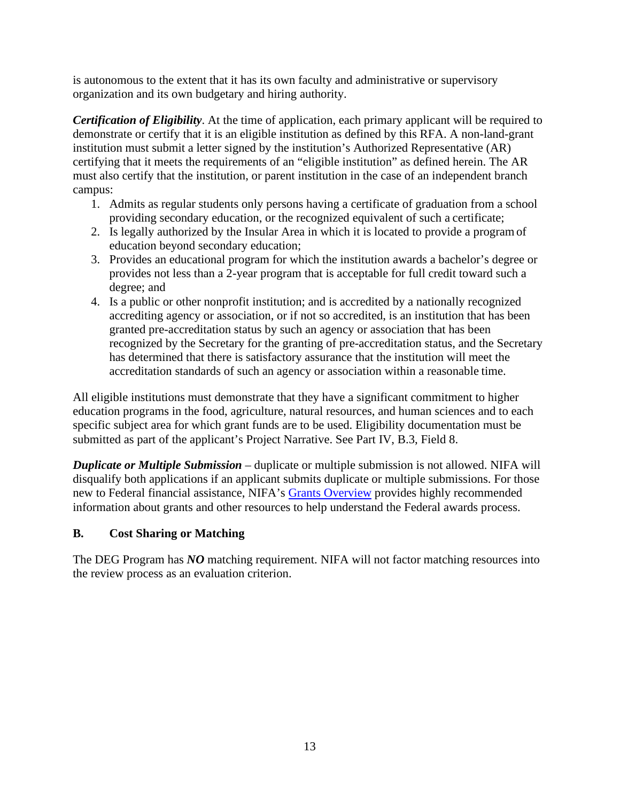is autonomous to the extent that it has its own faculty and administrative or supervisory organization and its own budgetary and hiring authority.

*Certification of Eligibility*. At the time of application, each primary applicant will be required to demonstrate or certify that it is an eligible institution as defined by this RFA. A non-land-grant institution must submit a letter signed by the institution's Authorized Representative (AR) certifying that it meets the requirements of an "eligible institution" as defined herein. The AR must also certify that the institution, or parent institution in the case of an independent branch campus:

- 1. Admits as regular students only persons having a certificate of graduation from a school providing secondary education, or the recognized equivalent of such a certificate;
- 2. Is legally authorized by the Insular Area in which it is located to provide a program of education beyond secondary education;
- 3. Provides an educational program for which the institution awards a bachelor's degree or provides not less than a 2-year program that is acceptable for full credit toward such a degree; and
- 4. Is a public or other nonprofit institution; and is accredited by a nationally recognized accrediting agency or association, or if not so accredited, is an institution that has been granted pre-accreditation status by such an agency or association that has been recognized by the Secretary for the granting of pre-accreditation status, and the Secretary has determined that there is satisfactory assurance that the institution will meet the accreditation standards of such an agency or association within a reasonable time.

All eligible institutions must demonstrate that they have a significant commitment to higher education programs in the food, agriculture, natural resources, and human sciences and to each specific subject area for which grant funds are to be used. Eligibility documentation must be submitted as part of the applicant's Project Narrative. See Part IV, B.3, Field 8.

*Duplicate or Multiple Submission* – duplicate or multiple submission is not allowed. NIFA will disqualify both applications if an applicant submits duplicate or multiple submissions. For those new to Federal financial assistance, NIFA's [Grants Overview](https://nifa.usda.gov/resource/grants-overview) provides highly recommended information about grants and other resources to help understand the Federal awards process.

## **B. Cost Sharing or Matching**

The DEG Program has *NO* matching requirement. NIFA will not factor matching resources into the review process as an evaluation criterion.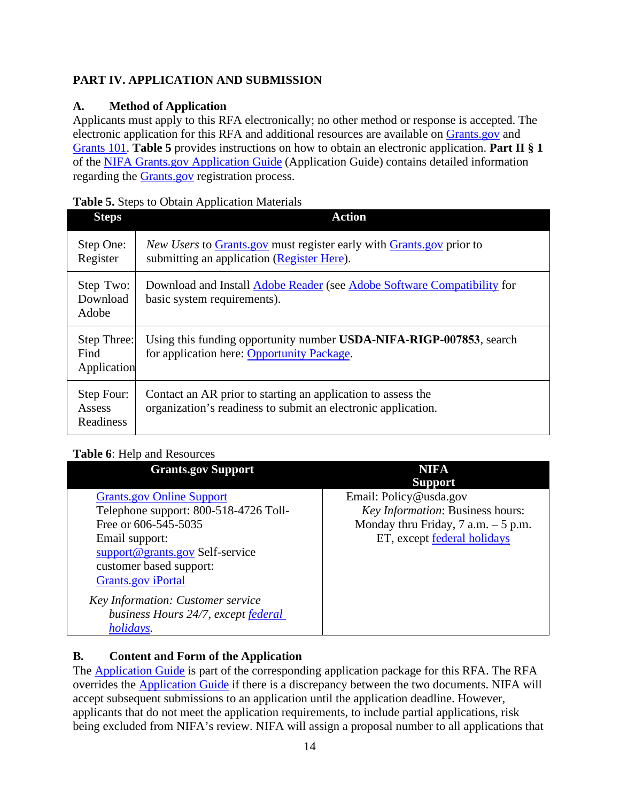# **PART IV. APPLICATION AND SUBMISSION**

# **A. Method of Application**

Applicants must apply to this RFA electronically; no other method or response is accepted. The electronic application for this RFA and additional resources are available on [Grants.gov a](https://www.grants.gov/)nd [Grants 101.](https://www.grants.gov/web/grants/learn-grants/grants-101/pre-award-phase.html/) **Table 5** provides instructions on how to obtain an electronic application. **Part II § 1** of the [NIFA Grants.gov Application Guide \(](https://apply07.grants.gov/apply/opportunities/instructions/PKG00249520-instructions.pdf)Application Guide) contains detailed information regarding the [Grants.gov r](https://www.grants.gov/)egistration process.

## **Table 5.** Steps to Obtain Application Materials

| <b>Steps</b>                             | <b>Action</b>                                                                                                                 |
|------------------------------------------|-------------------------------------------------------------------------------------------------------------------------------|
| Step One:<br>Register                    | <i>New Users</i> to Grants.gov must register early with Grants.gov prior to<br>submitting an application (Register Here).     |
| Step Two:<br>Download<br>Adobe           | Download and Install Adobe Reader (see Adobe Software Compatibility for<br>basic system requirements).                        |
| Step Three:<br>Find<br>Application       | Using this funding opportunity number <b>USDA-NIFA-RIGP-007853</b> , search<br>for application here: Opportunity Package.     |
| Step Four:<br><b>Assess</b><br>Readiness | Contact an AR prior to starting an application to assess the<br>organization's readiness to submit an electronic application. |

# **Table 6**: Help and Resources

| <b>Grants.gov Support</b>             | <b>NIFA</b>                            |
|---------------------------------------|----------------------------------------|
|                                       | <b>Support</b>                         |
| <b>Grants.gov Online Support</b>      | Email: Policy@usda.gov                 |
| Telephone support: 800-518-4726 Toll- | Key Information: Business hours:       |
| Free or 606-545-5035                  | Monday thru Friday, $7$ a.m. $-5$ p.m. |
| Email support:                        | ET, except federal holidays            |
| support@grants.gov Self-service       |                                        |
| customer based support:               |                                        |
| Grants.gov iPortal                    |                                        |
| Key Information: Customer service     |                                        |
| business Hours 24/7, except federal   |                                        |
| <i>holidays.</i>                      |                                        |

# **B. Content and Form of the Application**

The [Application Guide i](https://apply07.grants.gov/apply/opportunities/instructions/PKG00249520-instructions.pdf)s part of the corresponding application package for this RFA. The RFA overrides the [Application Guide i](https://apply07.grants.gov/apply/opportunities/instructions/PKG00249520-instructions.pdf)f there is a discrepancy between the two documents. NIFA will accept subsequent submissions to an application until the application deadline. However, applicants that do not meet the application requirements, to include partial applications, risk being excluded from NIFA's review. NIFA will assign a proposal number to all applications that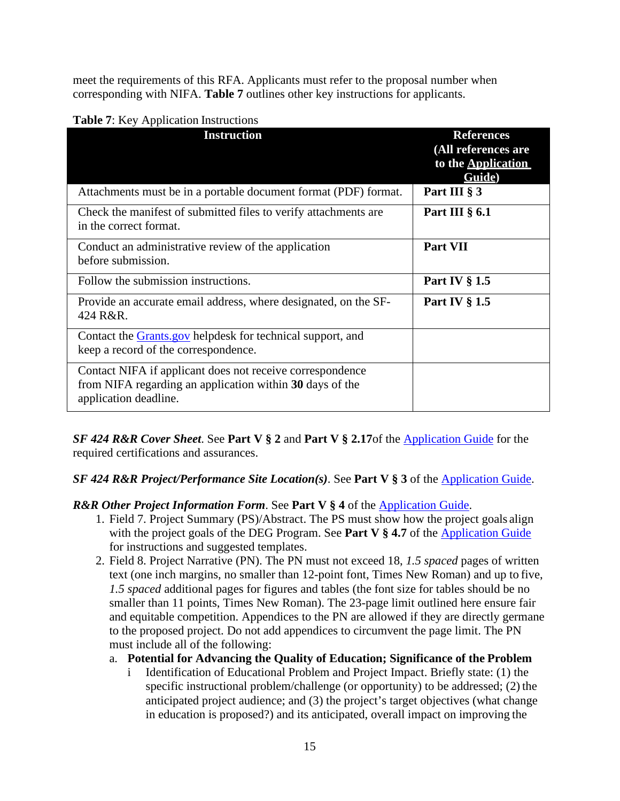meet the requirements of this RFA. Applicants must refer to the proposal number when corresponding with NIFA. **Table 7** outlines other key instructions for applicants.

| <b>Instruction</b>                                                                                                                             | <b>References</b><br>(All references are<br>to the <b>Application</b><br>Guide) |
|------------------------------------------------------------------------------------------------------------------------------------------------|---------------------------------------------------------------------------------|
| Attachments must be in a portable document format (PDF) format.                                                                                | Part III § 3                                                                    |
| Check the manifest of submitted files to verify attachments are<br>in the correct format.                                                      | Part III $\S$ 6.1                                                               |
| Conduct an administrative review of the application<br>before submission.                                                                      | Part VII                                                                        |
| Follow the submission instructions.                                                                                                            | Part IV $\S 1.5$                                                                |
| Provide an accurate email address, where designated, on the SF-<br>424 R&R.                                                                    | Part IV $\S$ 1.5                                                                |
| Contact the <b>Grants</b> gov helpdesk for technical support, and<br>keep a record of the correspondence.                                      |                                                                                 |
| Contact NIFA if applicant does not receive correspondence<br>from NIFA regarding an application within 30 days of the<br>application deadline. |                                                                                 |

# **Table 7**: Key Application Instructions

*SF 424 R&R Cover Sheet*. See **Part V § 2** and **Part V § 2.17**of the [Application Guide](https://apply07.grants.gov/apply/opportunities/instructions/PKG00249520-instructions.pdf) for the required certifications and assurances.

# *SF 424 R&R Project/Performance Site Location(s).* See Part V § 3 of the **Application Guide.**

# **R&R Other Project Information Form. See Part V § 4 of the [Application Guide.](https://apply07.grants.gov/apply/opportunities/instructions/PKG00249520-instructions.pdf)**

- 1. Field 7. Project Summary (PS)/Abstract. The PS must show how the project goals align with the project goals of the DEG Program. See **Part V § 4.7** of the [Application Guide](https://apply07.grants.gov/apply/opportunities/instructions/PKG00249520-instructions.pdf) for instructions and suggested templates.
- 2. Field 8. Project Narrative (PN). The PN must not exceed 18, *1.5 spaced* pages of written text (one inch margins, no smaller than 12-point font, Times New Roman) and up to five, *1.5 spaced* additional pages for figures and tables (the font size for tables should be no smaller than 11 points, Times New Roman). The 23-page limit outlined here ensure fair and equitable competition. Appendices to the PN are allowed if they are directly germane to the proposed project. Do not add appendices to circumvent the page limit. The PN must include all of the following:

# a. **Potential for Advancing the Quality of Education; Significance of the Problem**

Identification of Educational Problem and Project Impact. Briefly state: (1) the specific instructional problem/challenge (or opportunity) to be addressed; (2) the anticipated project audience; and (3) the project's target objectives (what change in education is proposed?) and its anticipated, overall impact on improving the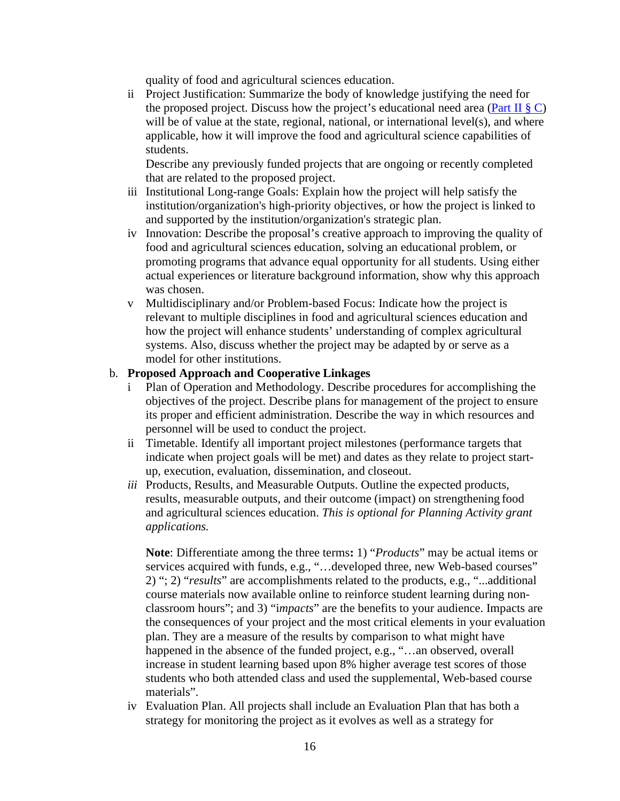quality of food and agricultural sciences education.

ii Project Justification: Summarize the body of knowledge justifying the need for the proposed project. Discuss how the project's educational need area (Part II  $\S$  C) will be of value at the state, regional, national, or international level(s), and where applicable, how it will improve the food and agricultural science capabilities of students.

Describe any previously funded projects that are ongoing or recently completed that are related to the proposed project.

- iii Institutional Long-range Goals: Explain how the project will help satisfy the institution/organization's high-priority objectives, or how the project is linked to and supported by the institution/organization's strategic plan.
- iv Innovation: Describe the proposal's creative approach to improving the quality of food and agricultural sciences education, solving an educational problem, or promoting programs that advance equal opportunity for all students. Using either actual experiences or literature background information, show why this approach was chosen.
- v Multidisciplinary and/or Problem-based Focus: Indicate how the project is relevant to multiple disciplines in food and agricultural sciences education and how the project will enhance students' understanding of complex agricultural systems. Also, discuss whether the project may be adapted by or serve as a model for other institutions.

#### b. **Proposed Approach and Cooperative Linkages**

- i Plan of Operation and Methodology. Describe procedures for accomplishing the objectives of the project. Describe plans for management of the project to ensure its proper and efficient administration. Describe the way in which resources and personnel will be used to conduct the project.
- ii Timetable. Identify all important project milestones (performance targets that indicate when project goals will be met) and dates as they relate to project startup, execution, evaluation, dissemination, and closeout.
- *iii* Products, Results, and Measurable Outputs. Outline the expected products, results, measurable outputs, and their outcome (impact) on strengthening food and agricultural sciences education. *This is optional for Planning Activity grant applications.*

**Note**: Differentiate among the three terms**:** 1) "*Products*" may be actual items or services acquired with funds, e.g., "...developed three, new Web-based courses" 2) "; 2) "*results*" are accomplishments related to the products, e.g., "...additional course materials now available online to reinforce student learning during nonclassroom hours"; and 3) "i*mpacts*" are the benefits to your audience. Impacts are the consequences of your project and the most critical elements in your evaluation plan. They are a measure of the results by comparison to what might have happened in the absence of the funded project, e.g., "...an observed, overall increase in student learning based upon 8% higher average test scores of those students who both attended class and used the supplemental, Web-based course materials".

iv Evaluation Plan. All projects shall include an Evaluation Plan that has both a strategy for monitoring the project as it evolves as well as a strategy for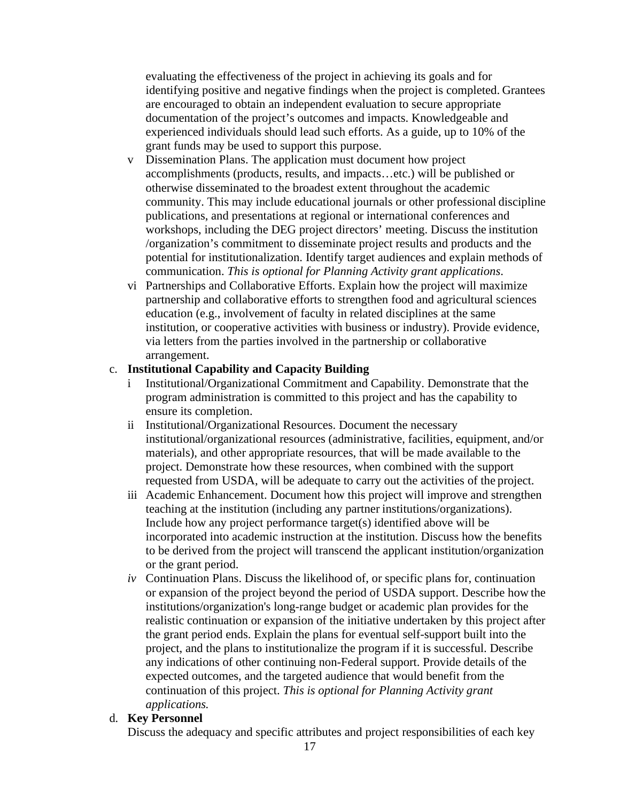evaluating the effectiveness of the project in achieving its goals and for identifying positive and negative findings when the project is completed. Grantees are encouraged to obtain an independent evaluation to secure appropriate documentation of the project's outcomes and impacts. Knowledgeable and experienced individuals should lead such efforts. As a guide, up to 10% of the grant funds may be used to support this purpose.

- v Dissemination Plans. The application must document how project accomplishments (products, results, and impacts…etc.) will be published or otherwise disseminated to the broadest extent throughout the academic community. This may include educational journals or other professional discipline publications, and presentations at regional or international conferences and workshops, including the DEG project directors' meeting. Discuss the institution /organization's commitment to disseminate project results and products and the potential for institutionalization. Identify target audiences and explain methods of communication. *This is optional for Planning Activity grant applications*.
- vi Partnerships and Collaborative Efforts. Explain how the project will maximize partnership and collaborative efforts to strengthen food and agricultural sciences education (e.g., involvement of faculty in related disciplines at the same institution, or cooperative activities with business or industry). Provide evidence, via letters from the parties involved in the partnership or collaborative arrangement.

#### c. **Institutional Capability and Capacity Building**

- i Institutional/Organizational Commitment and Capability. Demonstrate that the program administration is committed to this project and has the capability to ensure its completion.
- ii Institutional/Organizational Resources. Document the necessary institutional/organizational resources (administrative, facilities, equipment, and/or materials), and other appropriate resources, that will be made available to the project. Demonstrate how these resources, when combined with the support requested from USDA, will be adequate to carry out the activities of the project.
- iii Academic Enhancement. Document how this project will improve and strengthen teaching at the institution (including any partner institutions/organizations). Include how any project performance target(s) identified above will be incorporated into academic instruction at the institution. Discuss how the benefits to be derived from the project will transcend the applicant institution/organization or the grant period.
- *iv* Continuation Plans. Discuss the likelihood of, or specific plans for, continuation or expansion of the project beyond the period of USDA support. Describe how the institutions/organization's long-range budget or academic plan provides for the realistic continuation or expansion of the initiative undertaken by this project after the grant period ends. Explain the plans for eventual self-support built into the project, and the plans to institutionalize the program if it is successful. Describe any indications of other continuing non-Federal support. Provide details of the expected outcomes, and the targeted audience that would benefit from the continuation of this project. *This is optional for Planning Activity grant applications.*

#### d. **Key Personnel**

Discuss the adequacy and specific attributes and project responsibilities of each key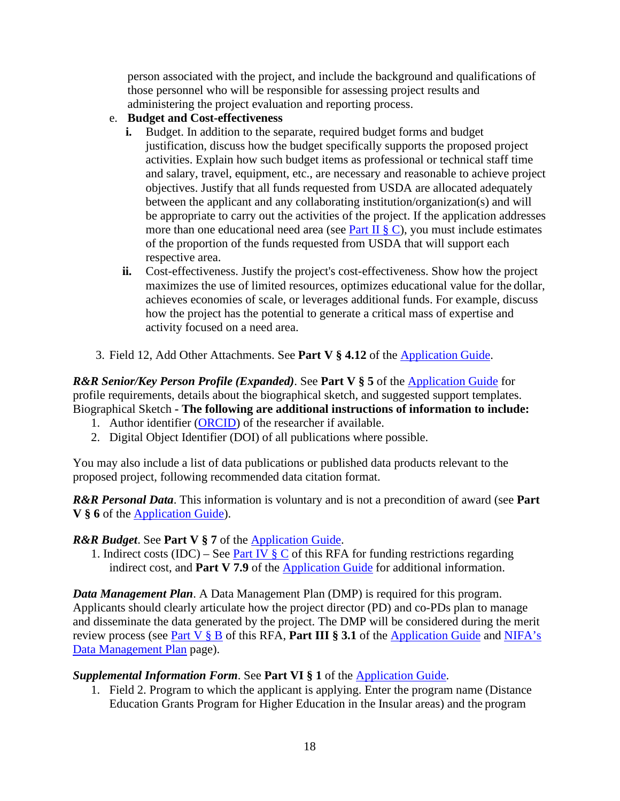person associated with the project, and include the background and qualifications of those personnel who will be responsible for assessing project results and administering the project evaluation and reporting process.

- e. **Budget and Cost-effectiveness**
	- **i.** Budget. In addition to the separate, required budget forms and budget justification, discuss how the budget specifically supports the proposed project activities. Explain how such budget items as professional or technical staff time and salary, travel, equipment, etc., are necessary and reasonable to achieve project objectives. Justify that all funds requested from USDA are allocated adequately between the applicant and any collaborating institution/organization(s) and will be appropriate to carry out the activities of the project. If the application addresses more than one educational need area (see <u>Part II  $\S$  C</u>), you must include estimates of the proportion of the funds requested from USDA that will support each respective area.
	- **ii.** Cost-effectiveness. Justify the project's cost-effectiveness. Show how the project maximizes the use of limited resources, optimizes educational value for the dollar, achieves economies of scale, or leverages additional funds. For example, discuss how the project has the potential to generate a critical mass of expertise and activity focused on a need area.
- 3. Field 12, Add Other Attachments. See **Part V § 4.12** of the [Application](https://apply07.grants.gov/apply/opportunities/instructions/PKG00249520-instructions.pdf) Guide.

**R&R Senior/Key Person Profile (Expanded). See Part V § 5 of the [Application Guide](https://apply07.grants.gov/apply/opportunities/instructions/PKG00249520-instructions.pdf) for** profile requirements, details about the biographical sketch, and suggested support templates. Biographical Sketch **- The following are additional instructions of information to include:**

- 1. Author identifier [\(ORCID\)](https://orcid.org/) of the researcher if available.
- 2. Digital Object Identifier (DOI) of all publications where possible.

You may also include a list of data publications or published data products relevant to the proposed project, following recommended data citation format.

*R&R Personal Data*. This information is voluntary and is not a precondition of award (see **Part V § 6** of the [Application Guide\)](https://apply07.grants.gov/apply/opportunities/instructions/PKG00249520-instructions.pdf).

## *R&R Budget*. See **Part V § 7** of the [Application Guide.](https://apply07.grants.gov/apply/opportunities/instructions/PKG00249520-instructions.pdf)

1. Indirect costs (IDC) – See Part IV  $\S$  C of this RFA for funding restrictions regarding indirect cost, and **Part V 7.9** of the [Application Guide](https://apply07.grants.gov/apply/opportunities/instructions/PKG00249520-instructions.pdf) for additional information.

*Data Management Plan*. A Data Management Plan (DMP) is required for this program. Applicants should clearly articulate how the project director (PD) and co-PDs plan to manage and disseminate the data generated by the project. The DMP will be considered during the merit review process (see Part V § B of this RFA, **Part III § 3.1** of the [Application Guide](https://apply07.grants.gov/apply/opportunities/instructions/PKG00249520-instructions.pdf) and [NIFA's](https://nifa.usda.gov/resource/data-management-plan-nifa-funded-research-projects) [Data Management Plan](https://nifa.usda.gov/resource/data-management-plan-nifa-funded-research-projects) page).

## *Supplemental Information Form*. See **Part VI § 1** of the [Application Guide.](https://apply07.grants.gov/apply/opportunities/instructions/PKG00249520-instructions.pdf)

1. Field 2. Program to which the applicant is applying. Enter the program name (Distance Education Grants Program for Higher Education in the Insular areas) and the program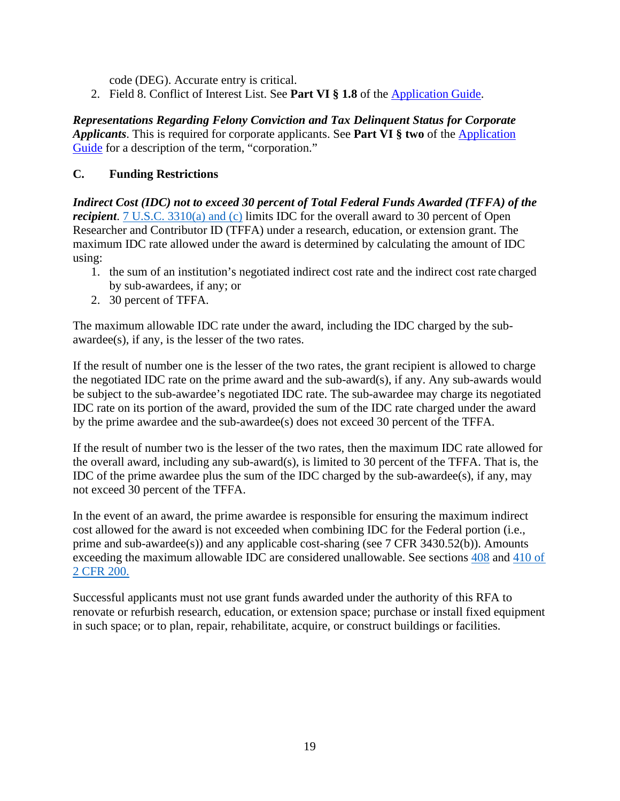code (DEG). Accurate entry is critical.

2. Field 8. Conflict of Interest List. See **Part VI § 1.8** of the [Application](https://apply07.grants.gov/apply/opportunities/instructions/PKG00249520-instructions.pdf) Guide.

*Representations Regarding Felony Conviction and Tax Delinquent Status for Corporate Applicants*. This is required for corporate applicants. See **Part VI § two** of the [Application](https://apply07.grants.gov/apply/opportunities/instructions/PKG00249520-instructions.pdf) [Guide](https://apply07.grants.gov/apply/opportunities/instructions/PKG00249520-instructions.pdf) for a description of the term, "corporation."

## **C. Funding Restrictions**

*Indirect Cost (IDC) not to exceed 30 percent of Total Federal Funds Awarded (TFFA) of the recipient*. [7 U.S.C. 3310\(a\) and \(c\)](https://uscode.house.gov/view.xhtml?req=(title:7%20section:3310%20edition:prelim)%20OR%20(granuleid:USC-prelim-title7-section3310)&f=treesort&edition=prelim&num=0&jumpTo=true) limits IDC for the overall award to 30 percent of Open Researcher and Contributor ID (TFFA) under a research, education, or extension grant. The maximum IDC rate allowed under the award is determined by calculating the amount of IDC using:

- 1. the sum of an institution's negotiated indirect cost rate and the indirect cost rate charged by sub-awardees, if any; or
- 2. 30 percent of TFFA.

The maximum allowable IDC rate under the award, including the IDC charged by the subawardee(s), if any, is the lesser of the two rates.

If the result of number one is the lesser of the two rates, the grant recipient is allowed to charge the negotiated IDC rate on the prime award and the sub-award(s), if any. Any sub-awards would be subject to the sub-awardee's negotiated IDC rate. The sub-awardee may charge its negotiated IDC rate on its portion of the award, provided the sum of the IDC rate charged under the award by the prime awardee and the sub-awardee(s) does not exceed 30 percent of the TFFA.

If the result of number two is the lesser of the two rates, then the maximum IDC rate allowed for the overall award, including any sub-award(s), is limited to 30 percent of the TFFA. That is, the IDC of the prime awardee plus the sum of the IDC charged by the sub-awardee(s), if any, may not exceed 30 percent of the TFFA.

In the event of an award, the prime awardee is responsible for ensuring the maximum indirect cost allowed for the award is not exceeded when combining IDC for the Federal portion (i.e., prime and sub-awardee(s)) and any applicable cost-sharing (see 7 CFR 3430.52(b)). Amounts exceeding the maximum allowable IDC are considered unallowable. See sections [408](https://www.ecfr.gov/cgi-bin/text-idx?SID=18aed91c9e4bee1d794f8451ff3a6a4d&mc=true&node=pt2.1.200&rgn=div5#se2.1.200_1408) and [410 of](https://www.ecfr.gov/cgi-bin/text-idx?SID=18aed91c9e4bee1d794f8451ff3a6a4d&mc=true&node=pt2.1.200&rgn=div5#se2.1.200_1410)  [2 CFR 200.](https://www.ecfr.gov/cgi-bin/text-idx?SID=18aed91c9e4bee1d794f8451ff3a6a4d&mc=true&node=pt2.1.200&rgn=div5#se2.1.200_1410)

Successful applicants must not use grant funds awarded under the authority of this RFA to renovate or refurbish research, education, or extension space; purchase or install fixed equipment in such space; or to plan, repair, rehabilitate, acquire, or construct buildings or facilities.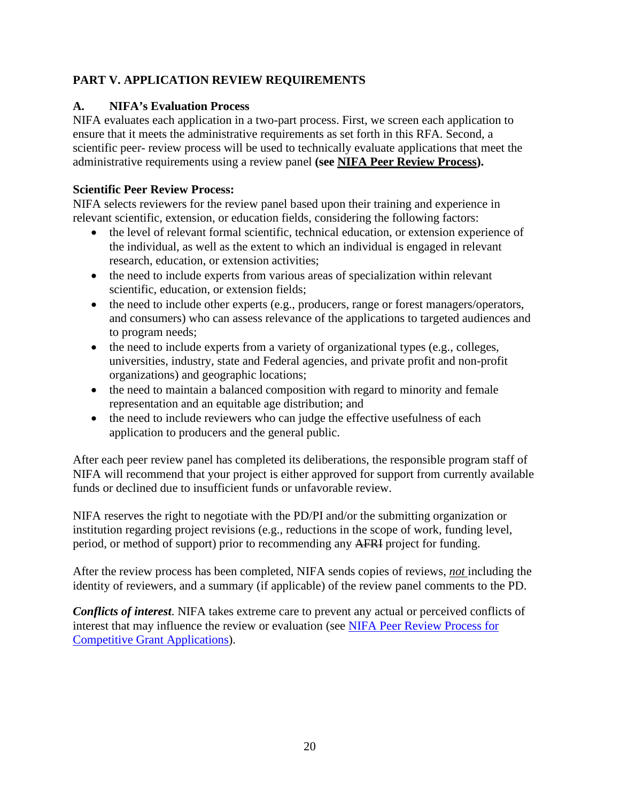# **PART V. APPLICATION REVIEW REQUIREMENTS**

# **A. NIFA's Evaluation Process**

NIFA evaluates each application in a two-part process. First, we screen each application to ensure that it meets the administrative requirements as set forth in this RFA. Second, a scientific peer- review process will be used to technically evaluate applications that meet the administrative requirements using a review panel **(see [NIFA Peer Review Process\)](https://nifa.usda.gov/sites/default/files/resource/NIFA-Peer-Review-Process-for-Competitive-Grant-Applications_0.pdf).**

# **Scientific Peer Review Process:**

NIFA selects reviewers for the review panel based upon their training and experience in relevant scientific, extension, or education fields, considering the following factors:

- the level of relevant formal scientific, technical education, or extension experience of the individual, as well as the extent to which an individual is engaged in relevant research, education, or extension activities;
- the need to include experts from various areas of specialization within relevant scientific, education, or extension fields;
- the need to include other experts (e.g., producers, range or forest managers/operators, and consumers) who can assess relevance of the applications to targeted audiences and to program needs;
- the need to include experts from a variety of organizational types (e.g., colleges, universities, industry, state and Federal agencies, and private profit and non-profit organizations) and geographic locations;
- the need to maintain a balanced composition with regard to minority and female representation and an equitable age distribution; and
- the need to include reviewers who can judge the effective usefulness of each application to producers and the general public.

After each peer review panel has completed its deliberations, the responsible program staff of NIFA will recommend that your project is either approved for support from currently available funds or declined due to insufficient funds or unfavorable review.

NIFA reserves the right to negotiate with the PD/PI and/or the submitting organization or institution regarding project revisions (e.g., reductions in the scope of work, funding level, period, or method of support) prior to recommending any AFRI project for funding.

After the review process has been completed, NIFA sends copies of reviews, *not* including the identity of reviewers, and a summary (if applicable) of the review panel comments to the PD.

*Conflicts of interest*. NIFA takes extreme care to prevent any actual or perceived conflicts of interest that may influence the review or evaluation (see [NIFA Peer Review Process for](https://nifa.usda.gov/resource/nifa-peer-review-process-competitive-grant-applications) [Competitive Grant Applications\)](https://nifa.usda.gov/resource/nifa-peer-review-process-competitive-grant-applications).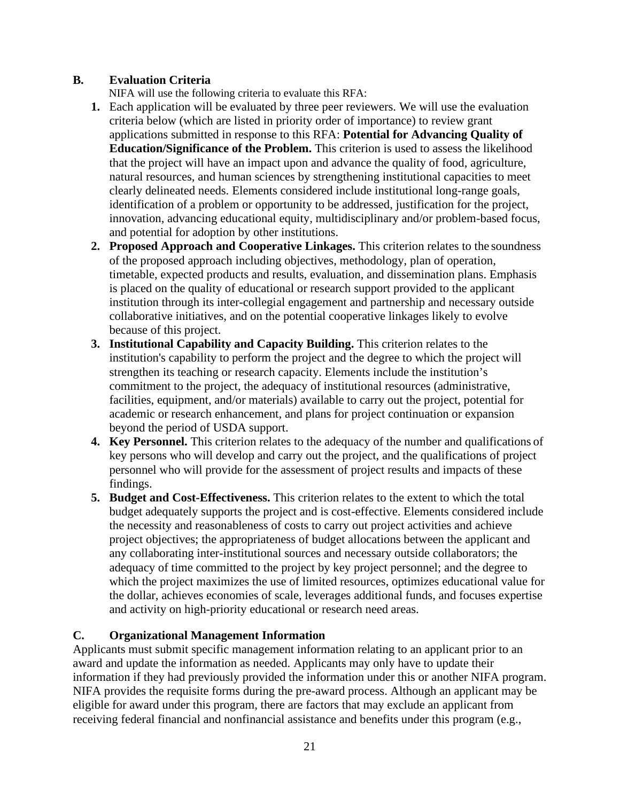## **B. Evaluation Criteria**

NIFA will use the following criteria to evaluate this RFA:

- **1.** Each application will be evaluated by three peer reviewers. We will use the evaluation criteria below (which are listed in priority order of importance) to review grant applications submitted in response to this RFA: **Potential for Advancing Quality of Education/Significance of the Problem.** This criterion is used to assess the likelihood that the project will have an impact upon and advance the quality of food, agriculture, natural resources, and human sciences by strengthening institutional capacities to meet clearly delineated needs. Elements considered include institutional long-range goals, identification of a problem or opportunity to be addressed, justification for the project, innovation, advancing educational equity, multidisciplinary and/or problem-based focus, and potential for adoption by other institutions.
- **2. Proposed Approach and Cooperative Linkages.** This criterion relates to the soundness of the proposed approach including objectives, methodology, plan of operation, timetable, expected products and results, evaluation, and dissemination plans. Emphasis is placed on the quality of educational or research support provided to the applicant institution through its inter-collegial engagement and partnership and necessary outside collaborative initiatives, and on the potential cooperative linkages likely to evolve because of this project.
- **3. Institutional Capability and Capacity Building.** This criterion relates to the institution's capability to perform the project and the degree to which the project will strengthen its teaching or research capacity. Elements include the institution's commitment to the project, the adequacy of institutional resources (administrative, facilities, equipment, and/or materials) available to carry out the project, potential for academic or research enhancement, and plans for project continuation or expansion beyond the period of USDA support.
- **4. Key Personnel.** This criterion relates to the adequacy of the number and qualifications of key persons who will develop and carry out the project, and the qualifications of project personnel who will provide for the assessment of project results and impacts of these findings.
- **5. Budget and Cost-Effectiveness.** This criterion relates to the extent to which the total budget adequately supports the project and is cost-effective. Elements considered include the necessity and reasonableness of costs to carry out project activities and achieve project objectives; the appropriateness of budget allocations between the applicant and any collaborating inter-institutional sources and necessary outside collaborators; the adequacy of time committed to the project by key project personnel; and the degree to which the project maximizes the use of limited resources, optimizes educational value for the dollar, achieves economies of scale, leverages additional funds, and focuses expertise and activity on high-priority educational or research need areas.

## **C. Organizational Management Information**

Applicants must submit specific management information relating to an applicant prior to an award and update the information as needed. Applicants may only have to update their information if they had previously provided the information under this or another NIFA program. NIFA provides the requisite forms during the pre-award process. Although an applicant may be eligible for award under this program, there are factors that may exclude an applicant from receiving federal financial and nonfinancial assistance and benefits under this program (e.g.,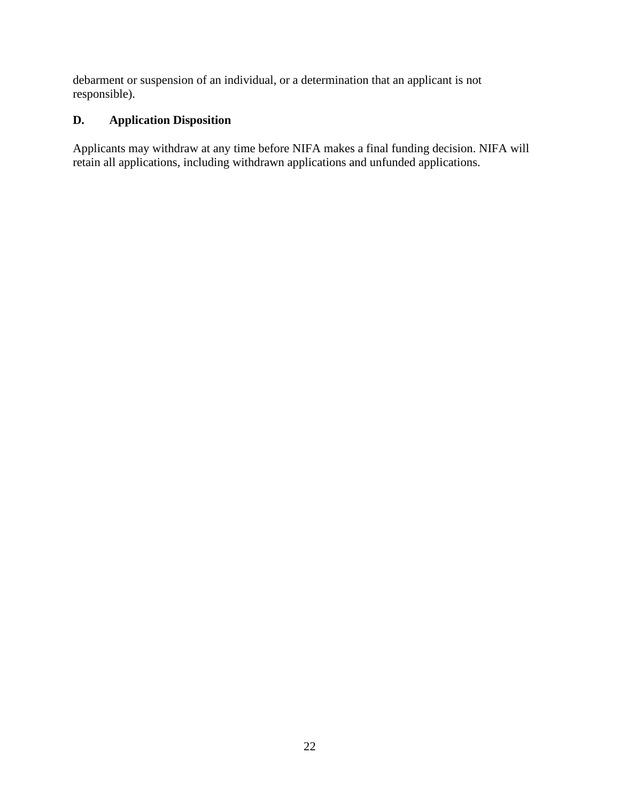debarment or suspension of an individual, or a determination that an applicant is not responsible).

# **D. Application Disposition**

Applicants may withdraw at any time before NIFA makes a final funding decision. NIFA will retain all applications, including withdrawn applications and unfunded applications.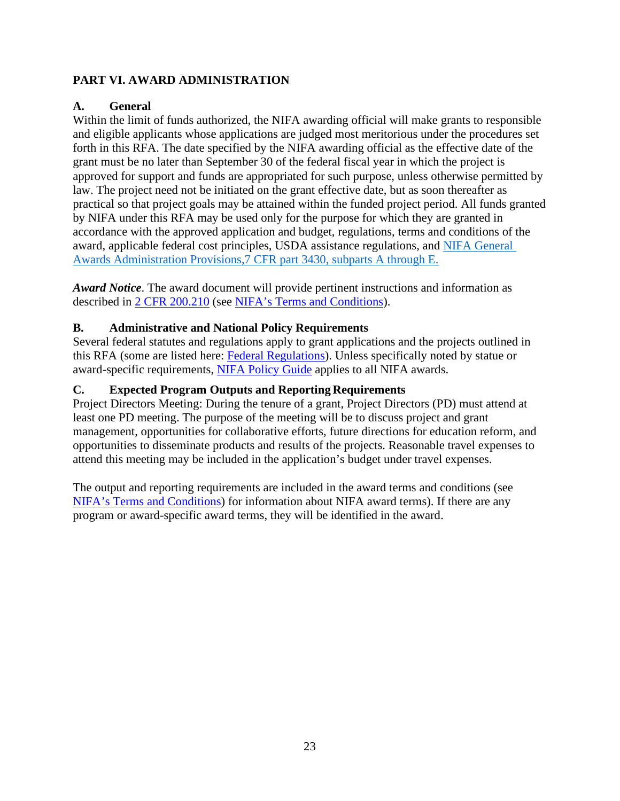# **PART VI. AWARD ADMINISTRATION**

## **A. General**

Within the limit of funds authorized, the NIFA awarding official will make grants to responsible and eligible applicants whose applications are judged most meritorious under the procedures set forth in this RFA. The date specified by the NIFA awarding official as the effective date of the grant must be no later than September 30 of the federal fiscal year in which the project is approved for support and funds are appropriated for such purpose, unless otherwise permitted by law. The project need not be initiated on the grant effective date, but as soon thereafter as practical so that project goals may be attained within the funded project period. All funds granted by NIFA under this RFA may be used only for the purpose for which they are granted in accordance with the approved application and budget, regulations, terms and conditions of the award, applicable federal cost principles, USDA assistance regulations, and [NIFA General](https://www.ecfr.gov/cgi-bin/text-idx?c=ecfr&SID=2a6f6bfbef4c918616eebe5353d0793c&rgn=div5&view=text&node=7%3A15.1.12.2.13&idno=7&7%3A15.1.12.2.13.1.17.2)  [Awards Administration Provisions,7 CFR part 3430, subparts A through E.](https://www.ecfr.gov/cgi-bin/text-idx?c=ecfr&SID=2a6f6bfbef4c918616eebe5353d0793c&rgn=div5&view=text&node=7%3A15.1.12.2.13&idno=7&7%3A15.1.12.2.13.1.17.2)

*Award Notice*. The award document will provide pertinent instructions and information as described in [2 CFR 200.210](https://www.ecfr.gov/cgi-bin/text-idx?SID=70b44cfc44976f4a7742464f7cfbb37e&mc=true&node=se2.1.200_1210&rgn=div8) (see [NIFA's Terms and Conditions\)](https://nifa.usda.gov/terms-and-conditions).

## **B. Administrative and National Policy Requirements**

Several federal statutes and regulations apply to grant applications and the projects outlined in this RFA (some are listed here: [Federal Regulations\)](https://nifa.usda.gov/federal-regulations). Unless specifically noted by statue or award-specific requirements, [NIFA Policy Guide](https://nifa.usda.gov/policy-guide) applies to all NIFA awards.

## **C. Expected Program Outputs and Reporting Requirements**

Project Directors Meeting: During the tenure of a grant, Project Directors (PD) must attend at least one PD meeting. The purpose of the meeting will be to discuss project and grant management, opportunities for collaborative efforts, future directions for education reform, and opportunities to disseminate products and results of the projects. Reasonable travel expenses to attend this meeting may be included in the application's budget under travel expenses.

The output and reporting requirements are included in the award terms and conditions (see [NIFA's Terms and Conditions\)](https://nifa.usda.gov/terms-and-conditions) for information about NIFA award terms). If there are any program or award-specific award terms, they will be identified in the award.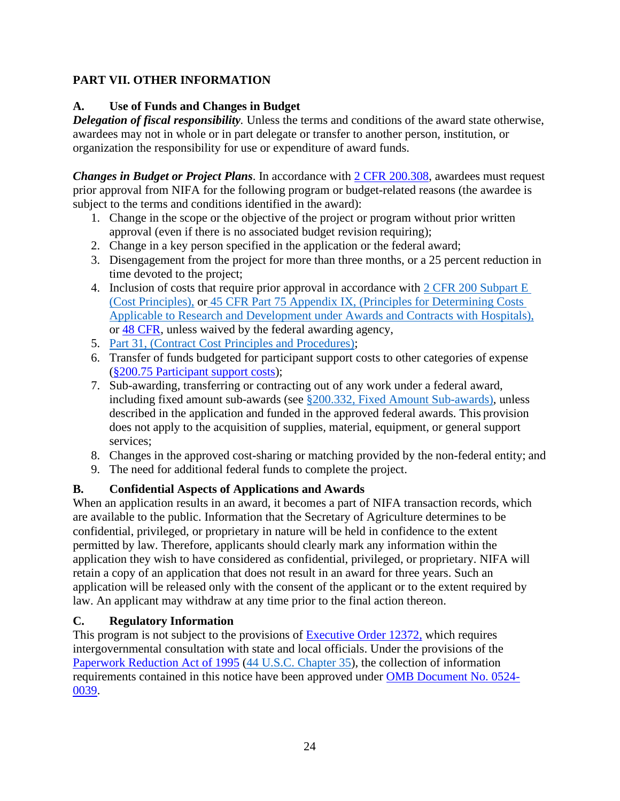# **PART VII. OTHER INFORMATION**

# **A. Use of Funds and Changes in Budget**

**Delegation of fiscal responsibility**. Unless the terms and conditions of the award state otherwise, awardees may not in whole or in part delegate or transfer to another person, institution, or organization the responsibility for use or expenditure of award funds.

*Changes in Budget or Project Plans*. In accordance with [2 CFR 200.308, a](https://www.ecfr.gov/cgi-bin/text-idx?SID=3af89506559b05297e7d0334cb283e24&mc=true&node=se2.1.200_1308&rgn=div8)wardees must request prior approval from NIFA for the following program or budget-related reasons (the awardee is subject to the terms and conditions identified in the award):

- 1. Change in the scope or the objective of the project or program without prior written approval (even if there is no associated budget revision requiring);
- 2. Change in a key person specified in the application or the federal award;
- 3. Disengagement from the project for more than three months, or a 25 percent reduction in time devoted to the project;
- 4. Inclusion of costs that require prior approval in accordance with [2 CFR 200 Subpart E](https://www.ecfr.gov/cgi-bin/text-idx?SID=d38b0a0c1e02976f3c5a402f7b8928fc&mc=true&node=pt2.1.200&rgn=div5#sp2.1.200.e)  [\(Cost Principles\),](https://www.ecfr.gov/cgi-bin/text-idx?SID=d38b0a0c1e02976f3c5a402f7b8928fc&mc=true&node=pt2.1.200&rgn=div5#sp2.1.200.e) or [45 CFR Part 75 Appendix IX, \(Principles for Determining Costs](https://www.ecfr.gov/cgi-bin/text-idx?node=pt45.1.75&ap45.1.75_1521.ix#ap45.1.75_1521.ix)  [Applicable to Research and Development under Awards and Contracts with Hospitals\),](https://www.ecfr.gov/cgi-bin/text-idx?node=pt45.1.75&ap45.1.75_1521.ix#ap45.1.75_1521.ix) or [48 CFR, unless waived by the federal awarding](https://www.ecfr.gov/cgi-bin/text-idx?SID=ebf03c4e924d89792de3490fd273d634&mc=true&tpl=/ecfrbrowse/Title48/48tab_02.tpl) agency,
- 5. [Part 31, \(Contract Cost Principles and](https://www.ecfr.gov/cgi-bin/text-idx?SID=ebf03c4e924d89792de3490fd273d634&mc=true&node=pt48.1.31&rgn=div5) Procedures);
- 6. Transfer of funds budgeted for participant support costs to other categories of expense [\(§200.75 Participant support](https://www.ecfr.gov/cgi-bin/text-idx?SID=d38b0a0c1e02976f3c5a402f7b8928fc&mc=true&node=pt2.1.200&rgn=div5#se2.1.200_175) costs);
- 7. Sub-awarding, transferring or contracting out of any work under a federal award, including fixed amount sub-awards (see [§200.332, Fixed Amount Sub-awards\),](https://www.ecfr.gov/cgi-bin/text-idx?SID=d38b0a0c1e02976f3c5a402f7b8928fc&mc=true&node=pt2.1.200&rgn=div5#se2.1.200_1332) unless described in the application and funded in the approved federal awards. This provision does not apply to the acquisition of supplies, material, equipment, or general support services;
- 8. Changes in the approved cost-sharing or matching provided by the non-federal entity; and
- 9. The need for additional federal funds to complete the project.

# **B. Confidential Aspects of Applications and Awards**

When an application results in an award, it becomes a part of NIFA transaction records, which are available to the public. Information that the Secretary of Agriculture determines to be confidential, privileged, or proprietary in nature will be held in confidence to the extent permitted by law. Therefore, applicants should clearly mark any information within the application they wish to have considered as confidential, privileged, or proprietary. NIFA will retain a copy of an application that does not result in an award for three years. Such an application will be released only with the consent of the applicant or to the extent required by law. An applicant may withdraw at any time prior to the final action thereon.

# **C. Regulatory Information**

This program is not subject to the provisions of [Executive Order 12372,](https://www.fws.gov/policy/library/rgeo12372.pdf) which requires intergovernmental consultation with state and local officials. Under the provisions of the [Paperwork Reduction Act of 1995](https://www.reginfo.gov/public/reginfo/pra.pdf) [\(44 U.S.C. Chapter 35\)](https://uscode.house.gov/view.xhtml?path=/prelim@title44/chapter35&edition=prelim), the collection of information requirements contained in this notice have been approved under [OMB Document No. 0524-](https://www.federalregister.gov/documents/2018/10/29/2018-23552/submission-for-omb-review-comment-request) [0039.](https://www.federalregister.gov/documents/2018/10/29/2018-23552/submission-for-omb-review-comment-request)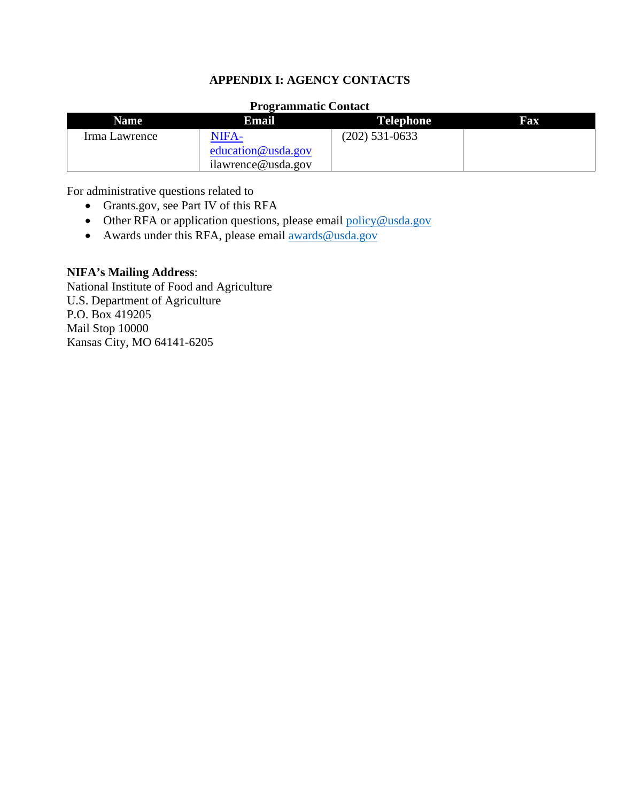## **APPENDIX I: AGENCY CONTACTS**

#### **Programmatic Contact**

| <b>Name</b>   | Email              | <b>Telephone</b> | Fax |
|---------------|--------------------|------------------|-----|
| Irma Lawrence | NIFA-              | $(202)$ 531-0633 |     |
|               | education@usda.gov |                  |     |
|               | ilawrence@usda.gov |                  |     |

For administrative questions related to

- Grants.gov, see Part IV of this RFA
- Other RFA or application questions, please email [policy@usda.gov](mailto:policy@usda.gov)
- Awards under this RFA, please email [awards@usda.gov](mailto:awards@usda.gov)

## **NIFA's Mailing Address**:

National Institute of Food and Agriculture U.S. Department of Agriculture P.O. Box 419205 Mail Stop 10000 Kansas City, MO 64141-6205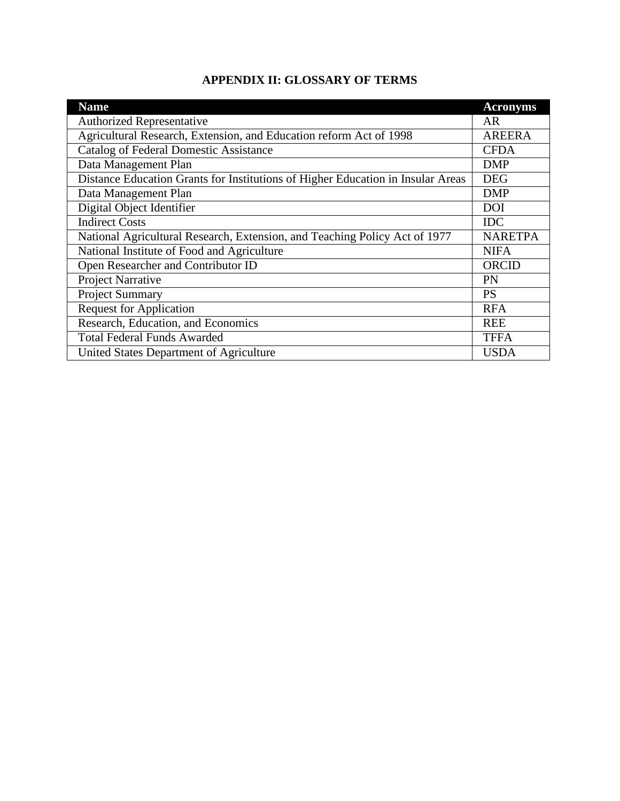| <b>APPENDIX II: GLOSSARY OF TERMS</b> |  |  |
|---------------------------------------|--|--|
|---------------------------------------|--|--|

| <b>Name</b>                                                                     | <b>Acronyms</b> |
|---------------------------------------------------------------------------------|-----------------|
| <b>Authorized Representative</b>                                                | AR              |
| Agricultural Research, Extension, and Education reform Act of 1998              | <b>AREERA</b>   |
| <b>Catalog of Federal Domestic Assistance</b>                                   | <b>CFDA</b>     |
| Data Management Plan                                                            | <b>DMP</b>      |
| Distance Education Grants for Institutions of Higher Education in Insular Areas | <b>DEG</b>      |
| Data Management Plan                                                            | <b>DMP</b>      |
| Digital Object Identifier                                                       | <b>DOI</b>      |
| <b>Indirect Costs</b>                                                           | <b>IDC</b>      |
| National Agricultural Research, Extension, and Teaching Policy Act of 1977      | <b>NARETPA</b>  |
| National Institute of Food and Agriculture                                      | <b>NIFA</b>     |
| Open Researcher and Contributor ID                                              | <b>ORCID</b>    |
| Project Narrative                                                               | PN              |
| <b>Project Summary</b>                                                          | <b>PS</b>       |
| <b>Request for Application</b>                                                  | <b>RFA</b>      |
| Research, Education, and Economics                                              | <b>REE</b>      |
| <b>Total Federal Funds Awarded</b>                                              | <b>TFFA</b>     |
| United States Department of Agriculture                                         | <b>USDA</b>     |